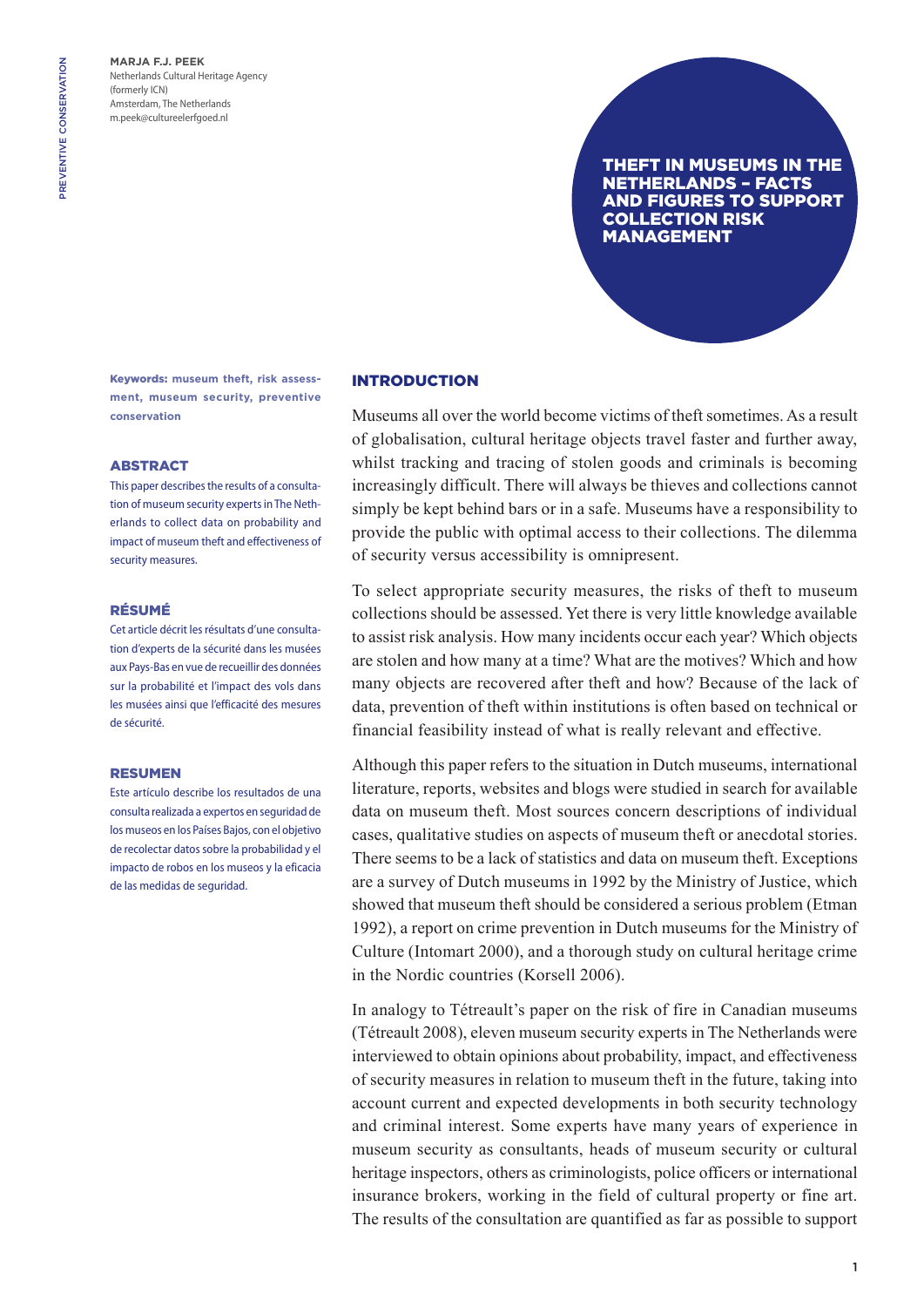**Marja F.J. Peek** Netherlands Cultural Heritage Agency (formerly ICN) Amsterdam, The Netherlands m.peek@cultureelerfgoed.nl

## Theft in museums in the Netherlands – facts and figures to support collection risk management

Keywords: **museum theft, risk assessment, museum security, preventive conservation**

#### **ABSTRACT**

This paper describes the results of a consultation of museum security experts in The Netherlands to collect data on probability and impact of museum theft and effectiveness of security measures.

#### Résumé

Cet article décrit les résultats d'une consultation d'experts de la sécurité dans les musées aux Pays-Bas en vue de recueillir des données sur la probabilité et l'impact des vols dans les musées ainsi que l'efficacité des mesures de sécurité.

#### **DESUMEN**

Este artículo describe los resultados de una consulta realizada a expertos en seguridad de los museos en los Países Bajos, con el objetivo de recolectar datos sobre la probabilidad y el impacto de robos en los museos y la eficacia de las medidas de seguridad.

## **INTRODUCTION**

Museums all over the world become victims of theft sometimes. As a result of globalisation, cultural heritage objects travel faster and further away, whilst tracking and tracing of stolen goods and criminals is becoming increasingly difficult. There will always be thieves and collections cannot simply be kept behind bars or in a safe. Museums have a responsibility to provide the public with optimal access to their collections. The dilemma of security versus accessibility is omnipresent.

To select appropriate security measures, the risks of theft to museum collections should be assessed. Yet there is very little knowledge available to assist risk analysis. How many incidents occur each year? Which objects are stolen and how many at a time? What are the motives? Which and how many objects are recovered after theft and how? Because of the lack of data, prevention of theft within institutions is often based on technical or financial feasibility instead of what is really relevant and effective.

Although this paper refers to the situation in Dutch museums, international literature, reports, websites and blogs were studied in search for available data on museum theft. Most sources concern descriptions of individual cases, qualitative studies on aspects of museum theft or anecdotal stories. There seems to be a lack of statistics and data on museum theft. Exceptions are a survey of Dutch museums in 1992 by the Ministry of Justice, which showed that museum theft should be considered a serious problem (Etman 1992), a report on crime prevention in Dutch museums for the Ministry of Culture (Intomart 2000), and a thorough study on cultural heritage crime in the Nordic countries (Korsell 2006).

In analogy to Tétreault's paper on the risk of fire in Canadian museums (Tétreault 2008), eleven museum security experts in The Netherlands were interviewed to obtain opinions about probability, impact, and effectiveness of security measures in relation to museum theft in the future, taking into account current and expected developments in both security technology and criminal interest. Some experts have many years of experience in museum security as consultants, heads of museum security or cultural heritage inspectors, others as criminologists, police officers or international insurance brokers, working in the field of cultural property or fine art. The results of the consultation are quantified as far as possible to support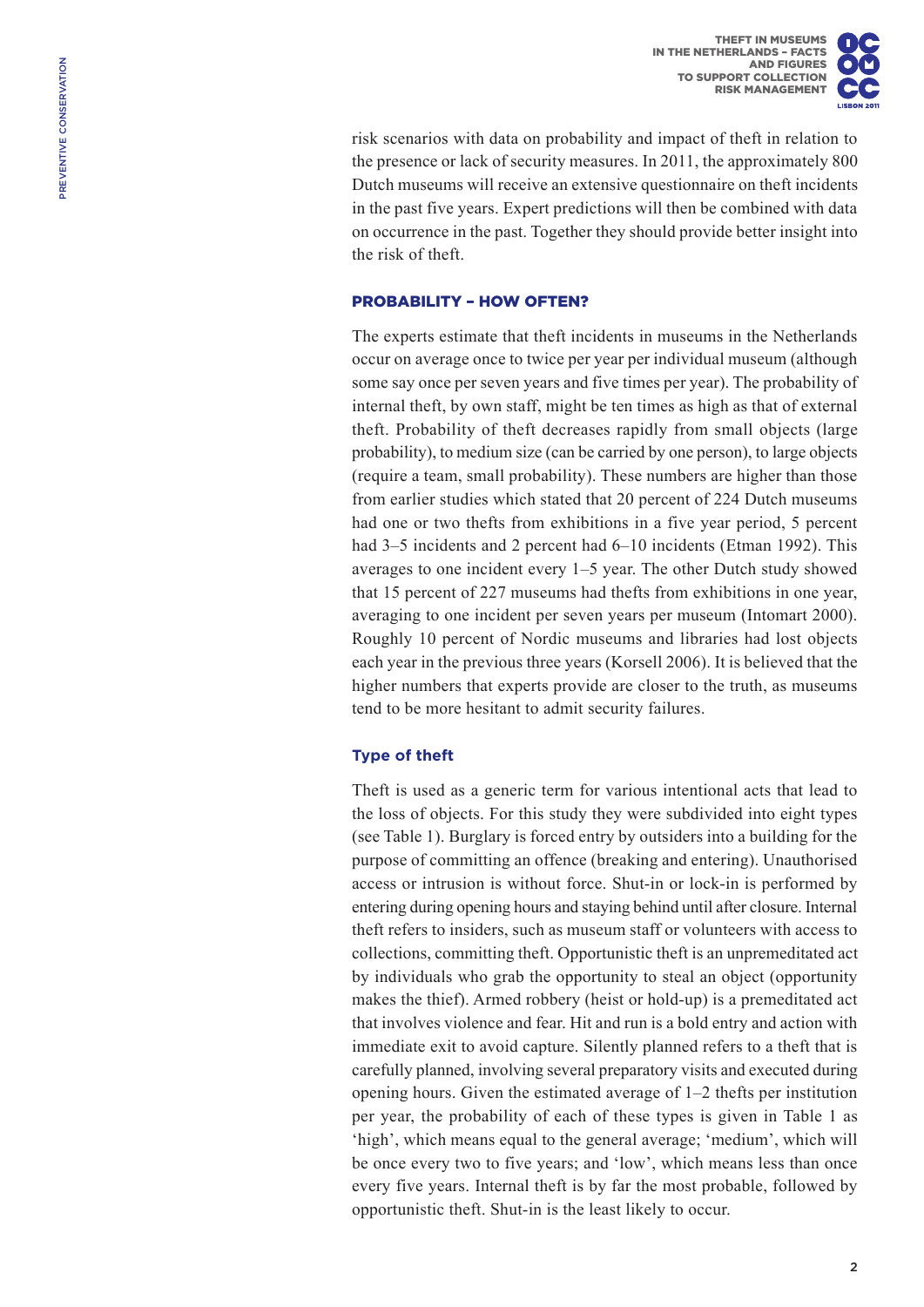risk scenarios with data on probability and impact of theft in relation to the presence or lack of security measures. In 2011, the approximately 800 Dutch museums will receive an extensive questionnaire on theft incidents in the past five years. Expert predictions will then be combined with data on occurrence in the past. Together they should provide better insight into the risk of theft.

## Probability – how often?

The experts estimate that theft incidents in museums in the Netherlands occur on average once to twice per year per individual museum (although some say once per seven years and five times per year). The probability of internal theft, by own staff, might be ten times as high as that of external theft. Probability of theft decreases rapidly from small objects (large probability), to medium size (can be carried by one person), to large objects (require a team, small probability). These numbers are higher than those from earlier studies which stated that 20 percent of 224 Dutch museums had one or two thefts from exhibitions in a five year period, 5 percent had 3–5 incidents and 2 percent had 6–10 incidents (Etman 1992). This averages to one incident every 1–5 year. The other Dutch study showed that 15 percent of 227 museums had thefts from exhibitions in one year, averaging to one incident per seven years per museum (Intomart 2000). Roughly 10 percent of Nordic museums and libraries had lost objects each year in the previous three years (Korsell 2006). It is believed that the higher numbers that experts provide are closer to the truth, as museums tend to be more hesitant to admit security failures.

# **Type of theft**

Theft is used as a generic term for various intentional acts that lead to the loss of objects. For this study they were subdivided into eight types (see Table 1). Burglary is forced entry by outsiders into a building for the purpose of committing an offence (breaking and entering). Unauthorised access or intrusion is without force. Shut-in or lock-in is performed by entering during opening hours and staying behind until after closure. Internal theft refers to insiders, such as museum staff or volunteers with access to collections, committing theft. Opportunistic theft is an unpremeditated act by individuals who grab the opportunity to steal an object (opportunity makes the thief). Armed robbery (heist or hold-up) is a premeditated act that involves violence and fear. Hit and run is a bold entry and action with immediate exit to avoid capture. Silently planned refers to a theft that is carefully planned, involving several preparatory visits and executed during opening hours. Given the estimated average of 1–2 thefts per institution per year, the probability of each of these types is given in Table 1 as 'high', which means equal to the general average; 'medium', which will be once every two to five years; and 'low', which means less than once every five years. Internal theft is by far the most probable, followed by opportunistic theft. Shut-in is the least likely to occur.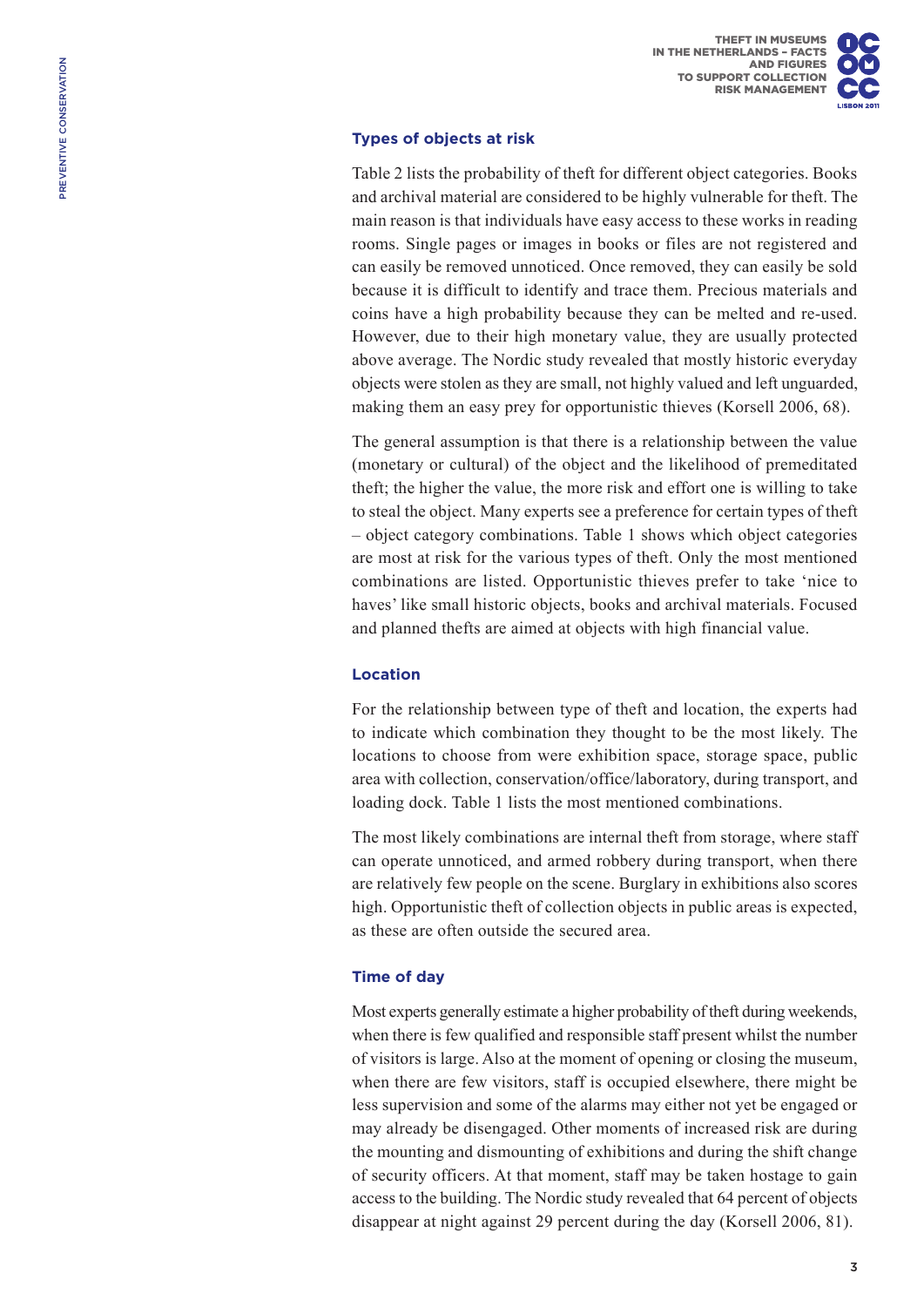# **Types of objects at risk**

Table 2 lists the probability of theft for different object categories. Books and archival material are considered to be highly vulnerable for theft. The main reason is that individuals have easy access to these works in reading rooms. Single pages or images in books or files are not registered and can easily be removed unnoticed. Once removed, they can easily be sold because it is difficult to identify and trace them. Precious materials and coins have a high probability because they can be melted and re-used. However, due to their high monetary value, they are usually protected above average. The Nordic study revealed that mostly historic everyday objects were stolen as they are small, not highly valued and left unguarded, making them an easy prey for opportunistic thieves (Korsell 2006, 68).

The general assumption is that there is a relationship between the value (monetary or cultural) of the object and the likelihood of premeditated theft; the higher the value, the more risk and effort one is willing to take to steal the object. Many experts see a preference for certain types of theft – object category combinations. Table 1 shows which object categories are most at risk for the various types of theft. Only the most mentioned combinations are listed. Opportunistic thieves prefer to take 'nice to haves' like small historic objects, books and archival materials. Focused and planned thefts are aimed at objects with high financial value.

# **Location**

For the relationship between type of theft and location, the experts had to indicate which combination they thought to be the most likely. The locations to choose from were exhibition space, storage space, public area with collection, conservation/office/laboratory, during transport, and loading dock. Table 1 lists the most mentioned combinations.

The most likely combinations are internal theft from storage, where staff can operate unnoticed, and armed robbery during transport, when there are relatively few people on the scene. Burglary in exhibitions also scores high. Opportunistic theft of collection objects in public areas is expected, as these are often outside the secured area.

# **Time of day**

Most experts generally estimate a higher probability of theft during weekends, when there is few qualified and responsible staff present whilst the number of visitors is large. Also at the moment of opening or closing the museum, when there are few visitors, staff is occupied elsewhere, there might be less supervision and some of the alarms may either not yet be engaged or may already be disengaged. Other moments of increased risk are during the mounting and dismounting of exhibitions and during the shift change of security officers. At that moment, staff may be taken hostage to gain access to the building. The Nordic study revealed that 64 percent of objects disappear at night against 29 percent during the day (Korsell 2006, 81).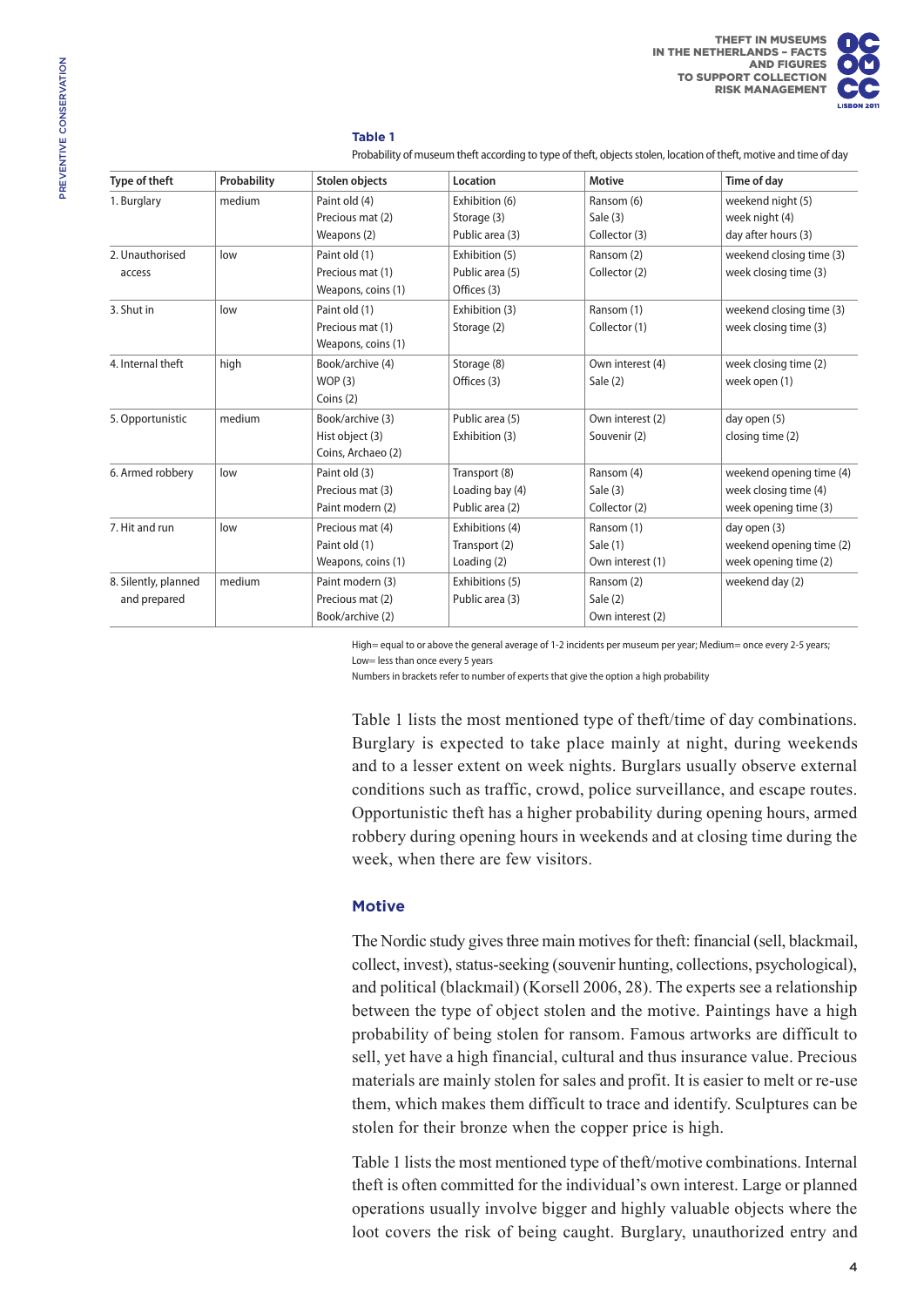### **Table 1**

Probability of museum theft according to type of theft, objects stolen, location of theft, motive and time of day

| Type of theft        | Probability | <b>Stolen objects</b> | Location        | <b>Motive</b>    | Time of day              |
|----------------------|-------------|-----------------------|-----------------|------------------|--------------------------|
| 1. Burglary          | medium      | Paint old (4)         | Exhibition (6)  | Ransom (6)       | weekend night (5)        |
|                      |             | Precious mat (2)      | Storage (3)     | Sale (3)         | week night (4)           |
|                      |             | Weapons (2)           | Public area (3) | Collector (3)    | day after hours (3)      |
| 2. Unauthorised      | low         | Paint old (1)         | Exhibition (5)  | Ransom (2)       | weekend closing time (3) |
| access               |             | Precious mat (1)      | Public area (5) | Collector (2)    | week closing time (3)    |
|                      |             | Weapons, coins (1)    | Offices (3)     |                  |                          |
| 3. Shut in           | low         | Paint old (1)         | Exhibition (3)  | Ransom (1)       | weekend closing time (3) |
|                      |             | Precious mat (1)      | Storage (2)     | Collector (1)    | week closing time (3)    |
|                      |             | Weapons, coins (1)    |                 |                  |                          |
| 4. Internal theft    | high        | Book/archive (4)      | Storage (8)     | Own interest (4) | week closing time (2)    |
|                      |             | WOP(3)                | Offices (3)     | Sale (2)         | week open (1)            |
|                      |             | Coins $(2)$           |                 |                  |                          |
| 5. Opportunistic     | medium      | Book/archive (3)      | Public area (5) | Own interest (2) | day open (5)             |
|                      |             | Hist object (3)       | Exhibition (3)  | Souvenir (2)     | closing time (2)         |
|                      |             | Coins, Archaeo (2)    |                 |                  |                          |
| 6. Armed robbery     | low         | Paint old (3)         | Transport (8)   | Ransom (4)       | weekend opening time (4) |
|                      |             | Precious mat (3)      | Loading bay (4) | Sale (3)         | week closing time (4)    |
|                      |             | Paint modern (2)      | Public area (2) | Collector (2)    | week opening time (3)    |
| 7. Hit and run       | low         | Precious mat (4)      | Exhibitions (4) | Ransom (1)       | day open (3)             |
|                      |             | Paint old (1)         | Transport (2)   | Sale (1)         | weekend opening time (2) |
|                      |             | Weapons, coins (1)    | Loading (2)     | Own interest (1) | week opening time (2)    |
| 8. Silently, planned | medium      | Paint modern (3)      | Exhibitions (5) | Ransom (2)       | weekend day (2)          |
| and prepared         |             | Precious mat (2)      | Public area (3) | Sale $(2)$       |                          |
|                      |             | Book/archive (2)      |                 | Own interest (2) |                          |

High= equal to or above the general average of 1-2 incidents per museum per year; Medium= once every 2-5 years; Low= less than once every 5 years

Numbers in brackets refer to number of experts that give the option a high probability

Table 1 lists the most mentioned type of theft/time of day combinations. Burglary is expected to take place mainly at night, during weekends and to a lesser extent on week nights. Burglars usually observe external conditions such as traffic, crowd, police surveillance, and escape routes. Opportunistic theft has a higher probability during opening hours, armed robbery during opening hours in weekends and at closing time during the week, when there are few visitors.

## **Motive**

The Nordic study gives three main motives for theft: financial (sell, blackmail, collect, invest), status-seeking (souvenir hunting, collections, psychological), and political (blackmail) (Korsell 2006, 28). The experts see a relationship between the type of object stolen and the motive. Paintings have a high probability of being stolen for ransom. Famous artworks are difficult to sell, yet have a high financial, cultural and thus insurance value. Precious materials are mainly stolen for sales and profit. It is easier to melt or re-use them, which makes them difficult to trace and identify. Sculptures can be stolen for their bronze when the copper price is high.

Table 1 lists the most mentioned type of theft/motive combinations. Internal theft is often committed for the individual's own interest. Large or planned operations usually involve bigger and highly valuable objects where the loot covers the risk of being caught. Burglary, unauthorized entry and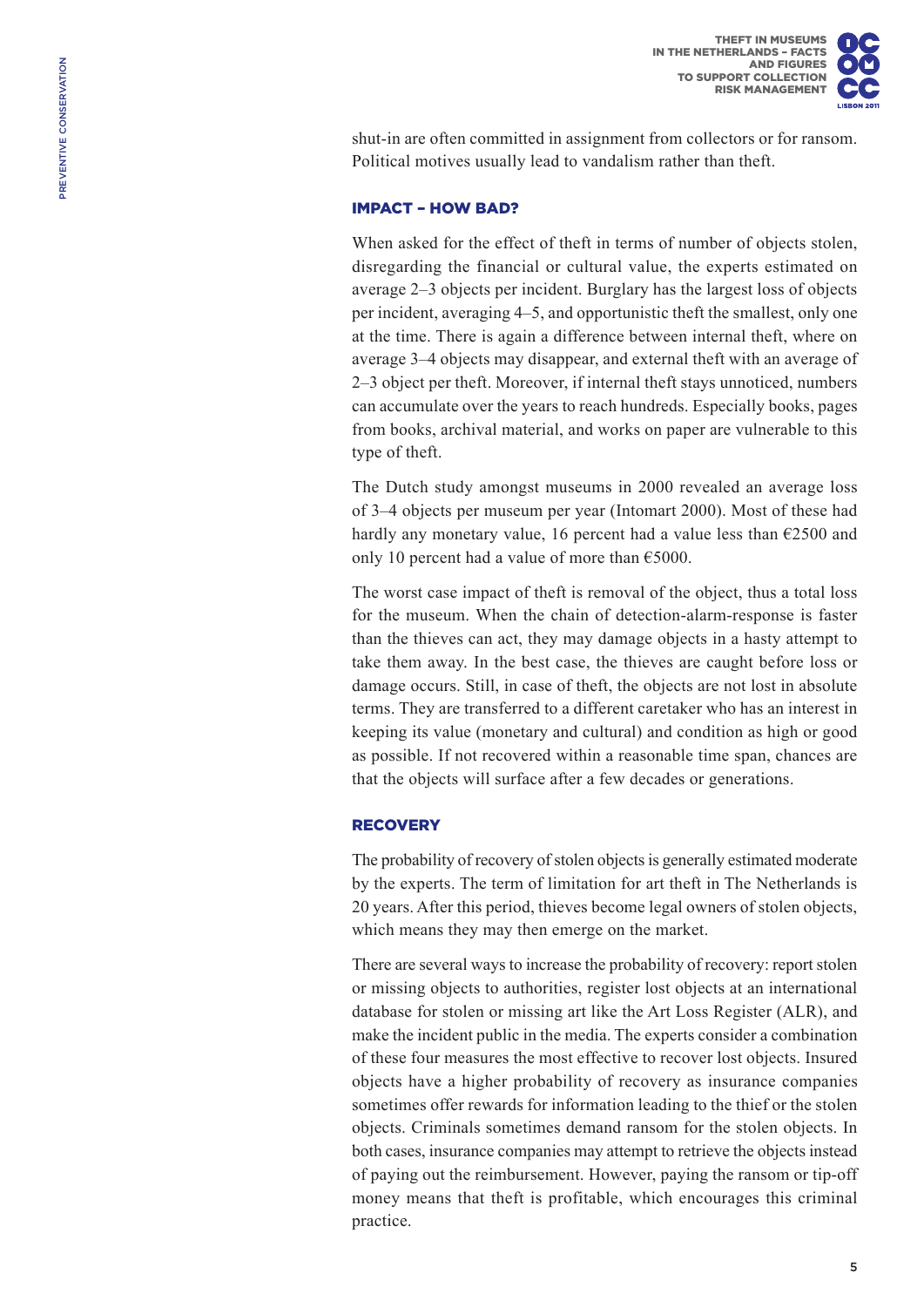shut-in are often committed in assignment from collectors or for ransom. Political motives usually lead to vandalism rather than theft.

## Impact – how bad?

When asked for the effect of theft in terms of number of objects stolen, disregarding the financial or cultural value, the experts estimated on average 2–3 objects per incident. Burglary has the largest loss of objects per incident, averaging 4–5, and opportunistic theft the smallest, only one at the time. There is again a difference between internal theft, where on average 3–4 objects may disappear, and external theft with an average of 2–3 object per theft. Moreover, if internal theft stays unnoticed, numbers can accumulate over the years to reach hundreds. Especially books, pages from books, archival material, and works on paper are vulnerable to this type of theft.

The Dutch study amongst museums in 2000 revealed an average loss of 3–4 objects per museum per year (Intomart 2000). Most of these had hardly any monetary value, 16 percent had a value less than  $\epsilon$ 2500 and only 10 percent had a value of more than  $\epsilon$ 5000.

The worst case impact of theft is removal of the object, thus a total loss for the museum. When the chain of detection-alarm-response is faster than the thieves can act, they may damage objects in a hasty attempt to take them away. In the best case, the thieves are caught before loss or damage occurs. Still, in case of theft, the objects are not lost in absolute terms. They are transferred to a different caretaker who has an interest in keeping its value (monetary and cultural) and condition as high or good as possible. If not recovered within a reasonable time span, chances are that the objects will surface after a few decades or generations.

## **RECOVERY**

The probability of recovery of stolen objects is generally estimated moderate by the experts. The term of limitation for art theft in The Netherlands is 20 years. After this period, thieves become legal owners of stolen objects, which means they may then emerge on the market.

There are several ways to increase the probability of recovery: report stolen or missing objects to authorities, register lost objects at an international database for stolen or missing art like the Art Loss Register (ALR), and make the incident public in the media. The experts consider a combination of these four measures the most effective to recover lost objects. Insured objects have a higher probability of recovery as insurance companies sometimes offer rewards for information leading to the thief or the stolen objects. Criminals sometimes demand ransom for the stolen objects. In both cases, insurance companies may attempt to retrieve the objects instead of paying out the reimbursement. However, paying the ransom or tip-off money means that theft is profitable, which encourages this criminal practice.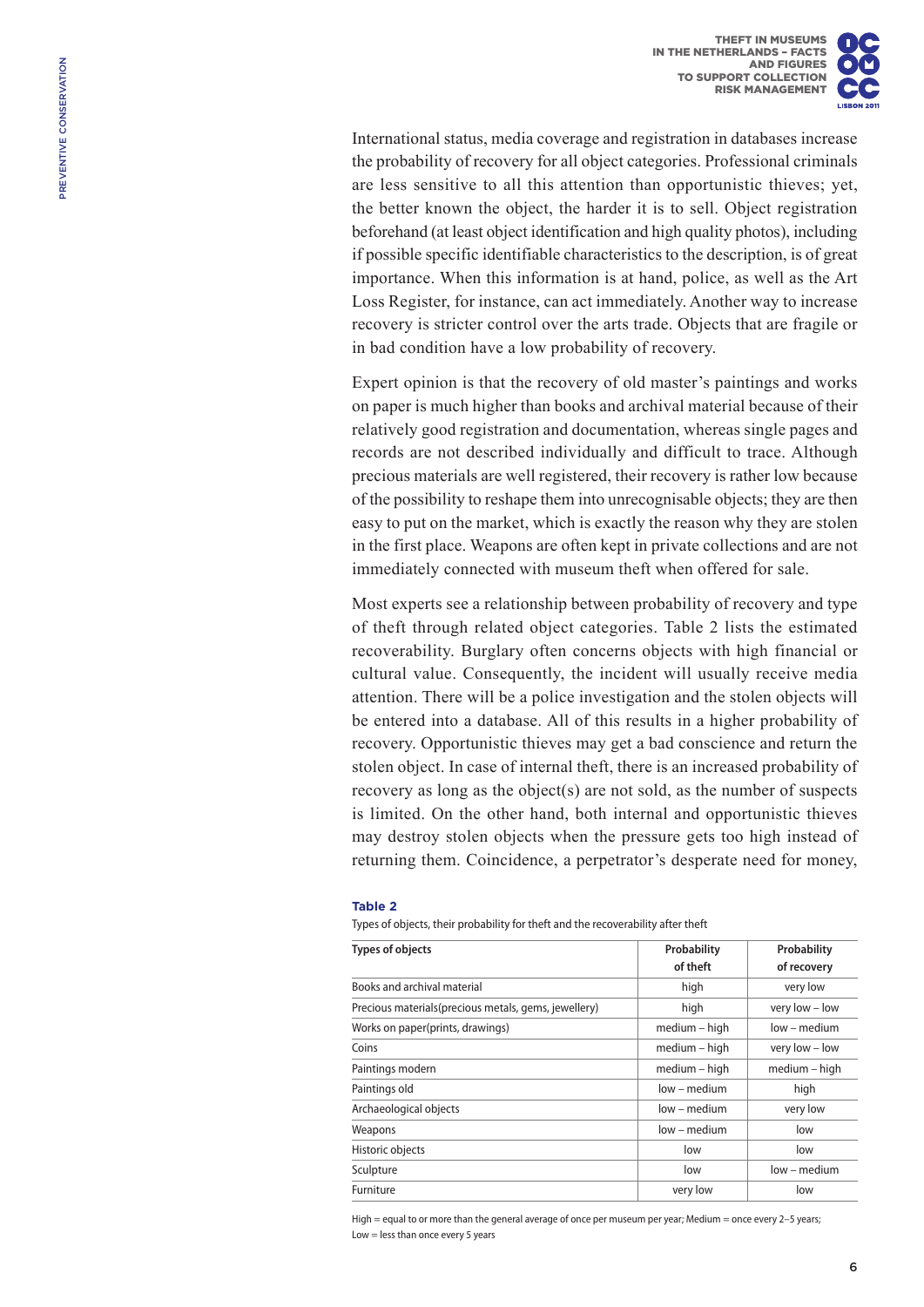International status, media coverage and registration in databases increase the probability of recovery for all object categories. Professional criminals are less sensitive to all this attention than opportunistic thieves; yet, the better known the object, the harder it is to sell. Object registration beforehand (at least object identification and high quality photos), including if possible specific identifiable characteristics to the description, is of great importance. When this information is at hand, police, as well as the Art Loss Register, for instance, can act immediately. Another way to increase recovery is stricter control over the arts trade. Objects that are fragile or in bad condition have a low probability of recovery.

Expert opinion is that the recovery of old master's paintings and works on paper is much higher than books and archival material because of their relatively good registration and documentation, whereas single pages and records are not described individually and difficult to trace. Although precious materials are well registered, their recovery is rather low because of the possibility to reshape them into unrecognisable objects; they are then easy to put on the market, which is exactly the reason why they are stolen in the first place. Weapons are often kept in private collections and are not immediately connected with museum theft when offered for sale.

Most experts see a relationship between probability of recovery and type of theft through related object categories. Table 2 lists the estimated recoverability. Burglary often concerns objects with high financial or cultural value. Consequently, the incident will usually receive media attention. There will be a police investigation and the stolen objects will be entered into a database. All of this results in a higher probability of recovery. Opportunistic thieves may get a bad conscience and return the stolen object. In case of internal theft, there is an increased probability of recovery as long as the object(s) are not sold, as the number of suspects is limited. On the other hand, both internal and opportunistic thieves may destroy stolen objects when the pressure gets too high instead of returning them. Coincidence, a perpetrator's desperate need for money,

#### **Table 2**

Types of objects, their probability for theft and the recoverability after theft

| <b>Types of objects</b>                               | Probability   | Probability    |  |
|-------------------------------------------------------|---------------|----------------|--|
|                                                       | of theft      | of recovery    |  |
| Books and archival material                           | high          | very low       |  |
| Precious materials (precious metals, gems, jewellery) | high          | very low - low |  |
| Works on paper(prints, drawings)                      | medium - high | low – medium   |  |
| Coins                                                 | medium - high | very low - low |  |
| Paintings modern                                      | medium - high | medium - high  |  |
| Paintings old                                         | low – medium  | high           |  |
| Archaeological objects                                | low – medium  | very low       |  |
| Weapons                                               | low – medium  | low            |  |
| Historic objects                                      | low           | low            |  |
| Sculpture                                             | low           | low – medium   |  |
| Furniture                                             | very low      | low            |  |

High = equal to or more than the general average of once per museum per year; Medium = once every 2-5 years; Low = less than once every 5 years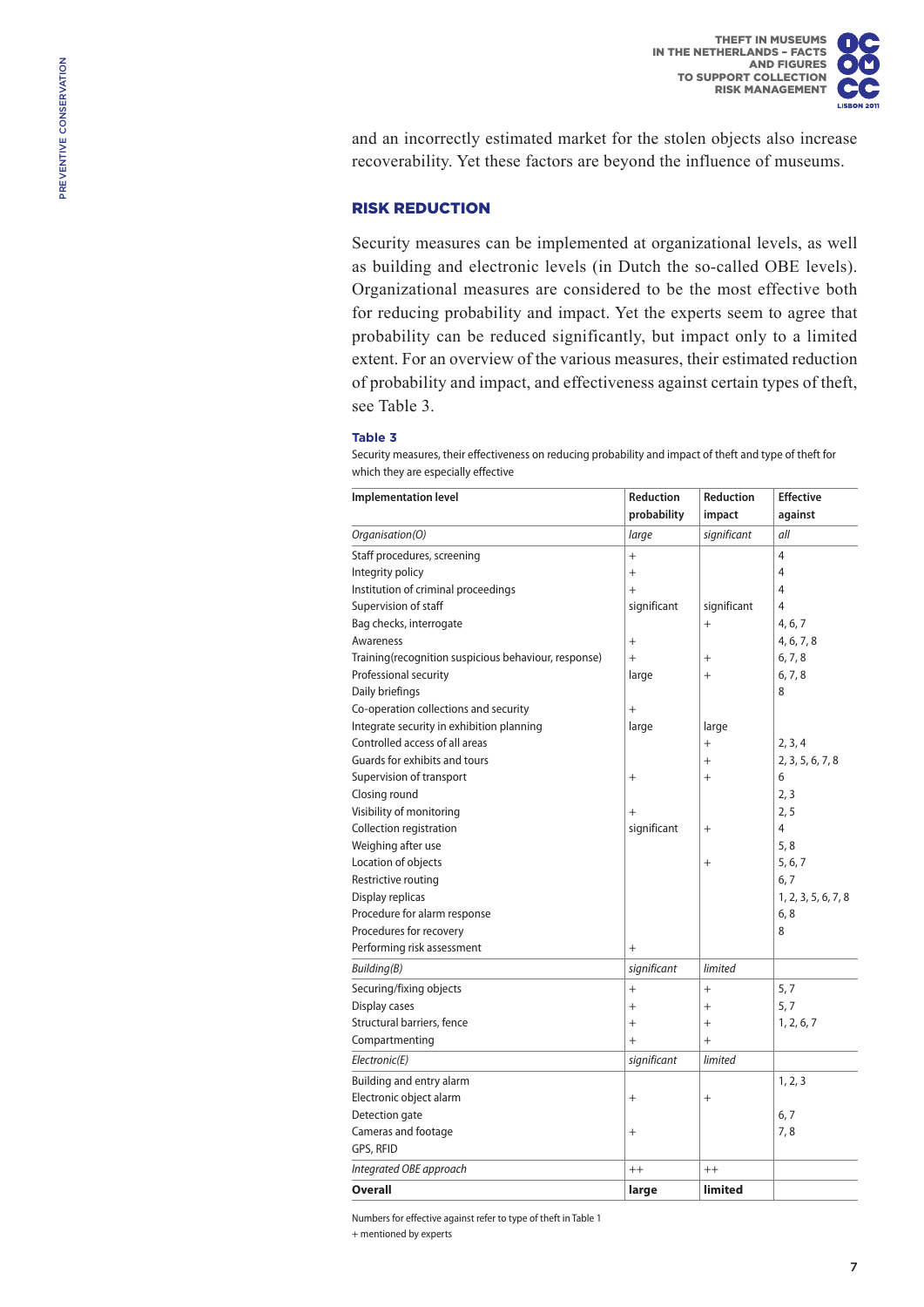and an incorrectly estimated market for the stolen objects also increase recoverability. Yet these factors are beyond the influence of museums.

## Risk reduction

Security measures can be implemented at organizational levels, as well as building and electronic levels (in Dutch the so-called OBE levels). Organizational measures are considered to be the most effective both for reducing probability and impact. Yet the experts seem to agree that probability can be reduced significantly, but impact only to a limited extent. For an overview of the various measures, their estimated reduction of probability and impact, and effectiveness against certain types of theft, see Table 3.

#### **Table 3**

Security measures, their effectiveness on reducing probability and impact of theft and type of theft for which they are especially effective

| <b>Implementation level</b>                          | Reduction   | Reduction   | <b>Effective</b>    |
|------------------------------------------------------|-------------|-------------|---------------------|
|                                                      | probability | impact      | against             |
| Organisation(O)                                      | large       | significant | all                 |
| Staff procedures, screening                          | $^{+}$      |             | $\overline{4}$      |
| Integrity policy                                     | $^{+}$      |             | 4                   |
| Institution of criminal proceedings                  | $^{+}$      |             | 4                   |
| Supervision of staff                                 | significant | significant | 4                   |
| Bag checks, interrogate                              |             |             | 4, 6, 7             |
| Awareness                                            | $+$         |             | 4, 6, 7, 8          |
| Training(recognition suspicious behaviour, response) | $+$         | $^{+}$      | 6, 7, 8             |
| Professional security                                | large       | $^{+}$      | 6, 7, 8             |
| Daily briefings                                      |             |             | 8                   |
| Co-operation collections and security                | $+$         |             |                     |
| Integrate security in exhibition planning            | large       | large       |                     |
| Controlled access of all areas                       |             | $^{+}$      | 2, 3, 4             |
| Guards for exhibits and tours                        |             | $^{+}$      | 2, 3, 5, 6, 7, 8    |
| Supervision of transport                             | $^{+}$      | $^{+}$      | 6                   |
| Closing round                                        |             |             | 2, 3                |
| Visibility of monitoring                             | $^{+}$      |             | 2, 5                |
| Collection registration                              | significant | $^{+}$      | 4                   |
| Weighing after use                                   |             |             | 5, 8                |
| Location of objects                                  |             | $^{+}$      | 5, 6, 7             |
| Restrictive routing                                  |             |             | 6, 7                |
| Display replicas                                     |             |             | 1, 2, 3, 5, 6, 7, 8 |
| Procedure for alarm response                         |             |             | 6, 8                |
| Procedures for recovery                              |             |             | 8                   |
| Performing risk assessment                           | $^{+}$      |             |                     |
| Building(B)                                          | significant | limited     |                     |
| Securing/fixing objects                              | $^{+}$      | $^{+}$      | 5, 7                |
| Display cases                                        | $^{+}$      | $^{+}$      | 5, 7                |
| Structural barriers, fence                           | $^{+}$      | $+$         | 1, 2, 6, 7          |
| Compartmenting                                       | $+$         | $+$         |                     |
| Electronic(E)                                        | significant | limited     |                     |
| Building and entry alarm                             |             |             | 1, 2, 3             |
| Electronic object alarm                              | $+$         | $+$         |                     |
| Detection gate                                       |             |             | 6, 7                |
| Cameras and footage                                  | $^{+}$      |             | 7,8                 |
| GPS, RFID                                            |             |             |                     |
| Integrated OBE approach                              | $++$        | $^{++}$     |                     |
| <b>Overall</b>                                       | large       | limited     |                     |

Numbers for effective against refer to type of theft in Table 1

+ mentioned by experts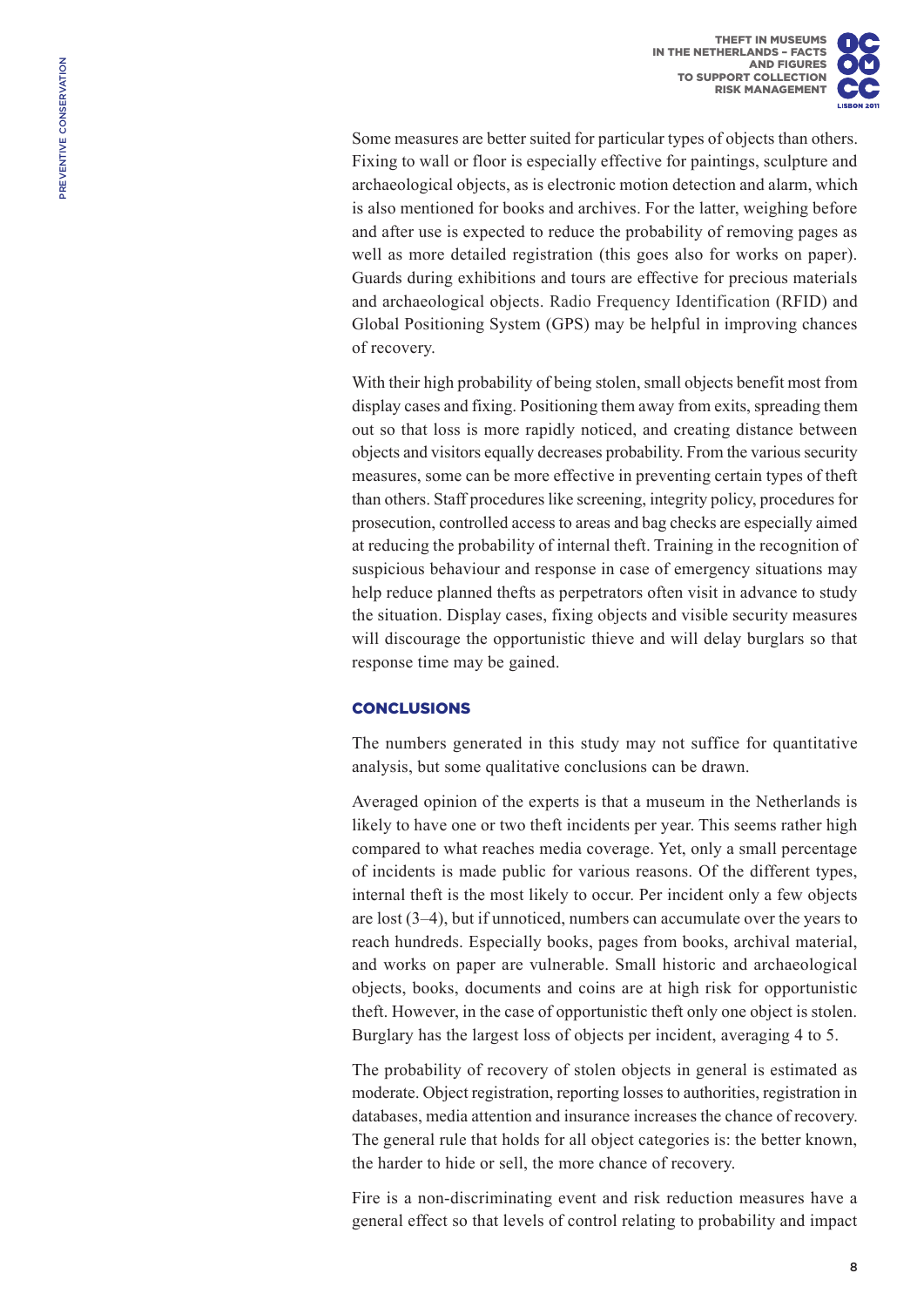Some measures are better suited for particular types of objects than others. Fixing to wall or floor is especially effective for paintings, sculpture and archaeological objects, as is electronic motion detection and alarm, which is also mentioned for books and archives. For the latter, weighing before and after use is expected to reduce the probability of removing pages as well as more detailed registration (this goes also for works on paper). Guards during exhibitions and tours are effective for precious materials and archaeological objects. Radio Frequency Identification (RFID) and Global Positioning System (GPS) may be helpful in improving chances of recovery.

With their high probability of being stolen, small objects benefit most from display cases and fixing. Positioning them away from exits, spreading them out so that loss is more rapidly noticed, and creating distance between objects and visitors equally decreases probability. From the various security measures, some can be more effective in preventing certain types of theft than others. Staff procedures like screening, integrity policy, procedures for prosecution, controlled access to areas and bag checks are especially aimed at reducing the probability of internal theft. Training in the recognition of suspicious behaviour and response in case of emergency situations may help reduce planned thefts as perpetrators often visit in advance to study the situation. Display cases, fixing objects and visible security measures will discourage the opportunistic thieve and will delay burglars so that response time may be gained.

# **CONCLUSIONS**

The numbers generated in this study may not suffice for quantitative analysis, but some qualitative conclusions can be drawn.

Averaged opinion of the experts is that a museum in the Netherlands is likely to have one or two theft incidents per year. This seems rather high compared to what reaches media coverage. Yet, only a small percentage of incidents is made public for various reasons. Of the different types, internal theft is the most likely to occur. Per incident only a few objects are lost (3–4), but if unnoticed, numbers can accumulate over the years to reach hundreds. Especially books, pages from books, archival material, and works on paper are vulnerable. Small historic and archaeological objects, books, documents and coins are at high risk for opportunistic theft. However, in the case of opportunistic theft only one object is stolen. Burglary has the largest loss of objects per incident, averaging 4 to 5.

The probability of recovery of stolen objects in general is estimated as moderate. Object registration, reporting losses to authorities, registration in databases, media attention and insurance increases the chance of recovery. The general rule that holds for all object categories is: the better known, the harder to hide or sell, the more chance of recovery.

Fire is a non-discriminating event and risk reduction measures have a general effect so that levels of control relating to probability and impact